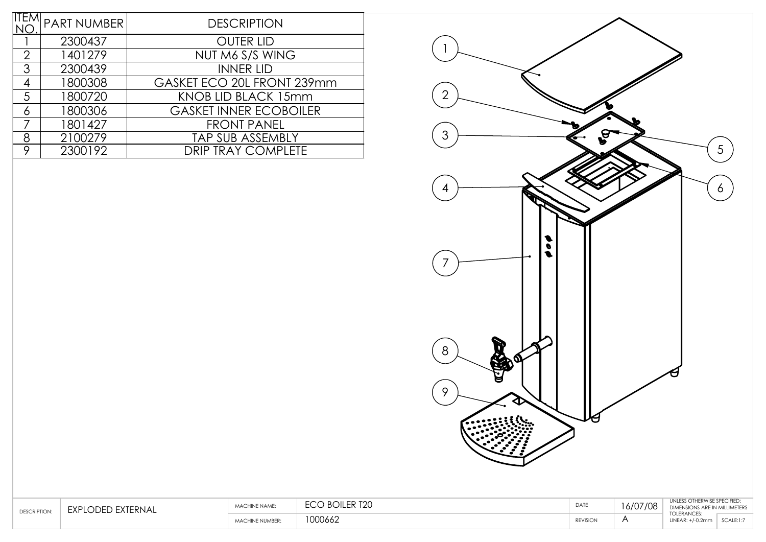|                | <b>PART NUMBER</b> | <b>DESCRIPTION</b>            |
|----------------|--------------------|-------------------------------|
|                | 2300437            | <b>OUTER LID</b>              |
| $\overline{2}$ | 1401279            | NUT M6 S/S WING               |
| 3              | 2300439            | <b>INNER LID</b>              |
|                | 1800308            | GASKET ECO 20L FRONT 239mm    |
| 5              | 1800720            | KNOB LID BLACK 15mm           |
| 6              | 1800306            | <b>GASKET INNER ECOBOILER</b> |
|                | 1801427            | <b>FRONT PANEL</b>            |
| 8              | 2100279            | <b>TAP SUB ASSEMBLY</b>       |
| 9              | 2300192            | <b>DRIP TRAY COMPLETE</b>     |



| <b>ESCRIPTION</b> | EXPL<br>XIFRNA | $ENAMF$ :             | $F_{\mathsf{D}}$ $F_{\mathsf{D}}$<br>1 Z U | DATE            | .102<br>$\sqrt{2}$<br>/ / ሀን<br>'6/U/ | OTHERWISE SPECIFIED<br>IN MILLIMETERS<br><b>DIMENSIONS</b> |                |
|-------------------|----------------|-----------------------|--------------------------------------------|-----------------|---------------------------------------|------------------------------------------------------------|----------------|
|                   |                | <b>IACHINE NUMBER</b> | 1000662                                    | <b>REVISION</b> |                                       | <b>TOLERANCES:</b>                                         | $SCAI$ $F·1·7$ |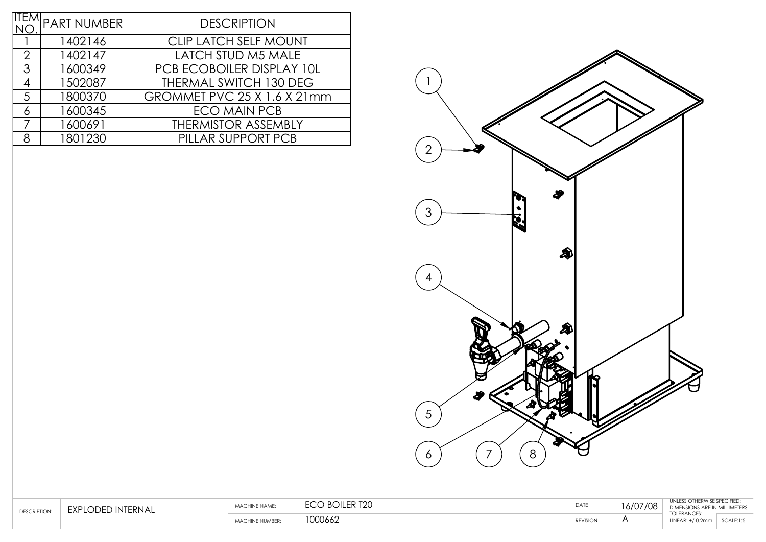|               | <b>PART NUMBER</b>                      | <b>DESCRIPTION</b>          |  |  |  |
|---------------|-----------------------------------------|-----------------------------|--|--|--|
|               |                                         |                             |  |  |  |
|               | <b>CLIP LATCH SELF MOUNT</b><br>1402146 |                             |  |  |  |
| $\mathcal{P}$ | 1402147                                 | <b>LATCH STUD M5 MALE</b>   |  |  |  |
| 3             | 1600349                                 | PCB ECOBOILER DISPLAY 10L   |  |  |  |
|               | 1502087                                 | THERMAL SWITCH 130 DEG      |  |  |  |
| 5             | 1800370                                 | GROMMET PVC 25 X 1.6 X 21mm |  |  |  |
|               | 1600345                                 | <b>ECO MAIN PCB</b>         |  |  |  |
|               | 1600691                                 | <b>THERMISTOR ASSEMBLY</b>  |  |  |  |
|               | 1801230                                 | PILLAR SUPPORT PCB          |  |  |  |



| DESCRIPTION | <b>FXPI</b><br>FRNA.<br>- 11N 11 | - NAMI<br><b>AAA</b>    | $D$ $D$ $E$ $D$ $T$ $D$ $T$ $D$ $T$ | DATE            | ( IN 7 IN 2<br>O/U | $\cdot$<br><b>TOLERANCES:</b>                   | <b>MILLIMETERS</b> |
|-------------|----------------------------------|-------------------------|-------------------------------------|-----------------|--------------------|-------------------------------------------------|--------------------|
|             |                                  | NE NUMBER<br><b>AAA</b> | 1000110<br>UUU662                   | <b>REVISION</b> |                    | $' \cup \cup \cup \cup \wedge \cup \vee \cdots$ | SCAIF:1:5          |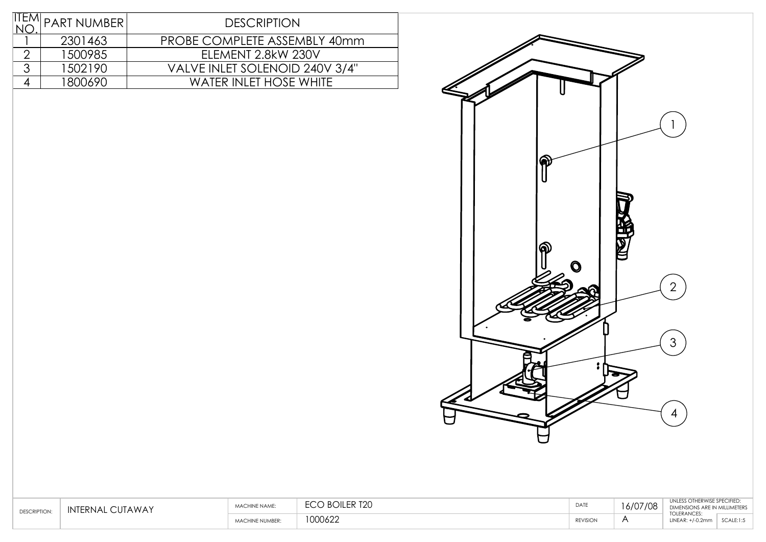|   | <b>PART NUMBER</b> | <b>DESCRIPTION</b>             |
|---|--------------------|--------------------------------|
|   | 2301463            | PROBE COMPLETE ASSEMBLY 40mm   |
|   | 1500985            | ELEMENT 2.8kW 230V             |
| հ | 1502190            | VALVE INLET SOLENOID 240V 3/4" |
|   | 1800690            | <b>WATER INLET HOSE WHITE</b>  |
|   |                    |                                |



| DESCRIPTION | INTERNAL<br>UTAWAY | - NAME. | I R∩II FR T2N<br>$-\sim$<br>1 L V | DATE            |  | <b>HERWISE SPECIFIED:</b><br>DIMENSIONS ARE IN MILLIMETERS. |           |
|-------------|--------------------|---------|-----------------------------------|-----------------|--|-------------------------------------------------------------|-----------|
|             |                    | NUMBER: | 1000622                           | <b>REVISION</b> |  | <b>TOLERANCES:</b><br>INEAD.                                | SCALE:1:5 |